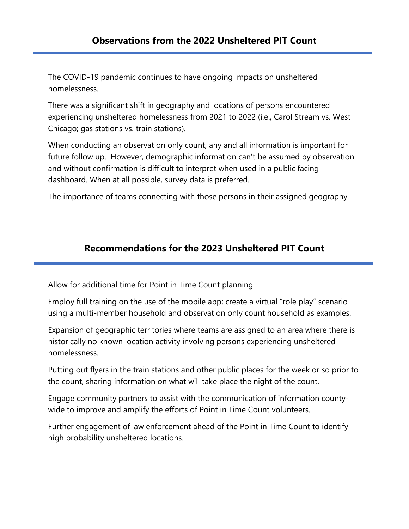## **Observations from the 2022 Unsheltered PIT Count**

The COVID-19 pandemic continues to have ongoing impacts on unsheltered homelessness.

There was a significant shift in geography and locations of persons encountered experiencing unsheltered homelessness from 2021 to 2022 (i.e., Carol Stream vs. West Chicago; gas stations vs. train stations).

When conducting an observation only count, any and all information is important for future follow up. However, demographic information can't be assumed by observation and without confirmation is difficult to interpret when used in a public facing dashboard. When at all possible, survey data is preferred.

The importance of teams connecting with those persons in their assigned geography.

## **Recommendations for the 2023 Unsheltered PIT Count**

Allow for additional time for Point in Time Count planning.

Employ full training on the use of the mobile app; create a virtual "role play" scenario using a multi-member household and observation only count household as examples.

Expansion of geographic territories where teams are assigned to an area where there is historically no known location activity involving persons experiencing unsheltered homelessness.

Putting out flyers in the train stations and other public places for the week or so prior to the count, sharing information on what will take place the night of the count.

Engage community partners to assist with the communication of information countywide to improve and amplify the efforts of Point in Time Count volunteers.

Further engagement of law enforcement ahead of the Point in Time Count to identify high probability unsheltered locations.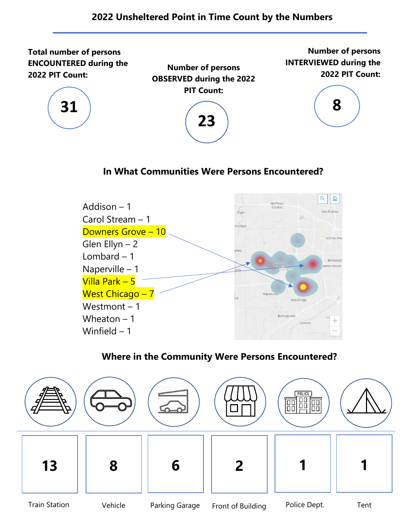

# **In What Communities Were Persons Encountered?**



# **Where in the Community Were Persons Encountered?**

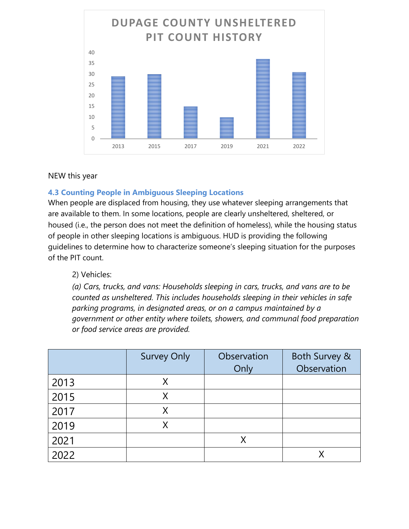

#### NEW this year

### **4.3 Counting People in Ambiguous Sleeping Locations**

When people are displaced from housing, they use whatever sleeping arrangements that are available to them. In some locations, people are clearly unsheltered, sheltered, or housed (i.e., the person does not meet the definition of homeless), while the housing status of people in other sleeping locations is ambiguous. HUD is providing the following guidelines to determine how to characterize someone's sleeping situation for the purposes of the PIT count.

2) Vehicles:

*(a) Cars, trucks, and vans: Households sleeping in cars, trucks, and vans are to be counted as unsheltered. This includes households sleeping in their vehicles in safe parking programs, in designated areas, or on a campus maintained by a government or other entity where toilets, showers, and communal food preparation or food service areas are provided.* 

|      | <b>Survey Only</b> | Observation | Both Survey & |
|------|--------------------|-------------|---------------|
|      |                    | Only        | Observation   |
| 2013 | Χ                  |             |               |
| 2015 | Χ                  |             |               |
| 2017 | Χ                  |             |               |
| 2019 | Χ                  |             |               |
| 2021 |                    |             |               |
| 2022 |                    |             |               |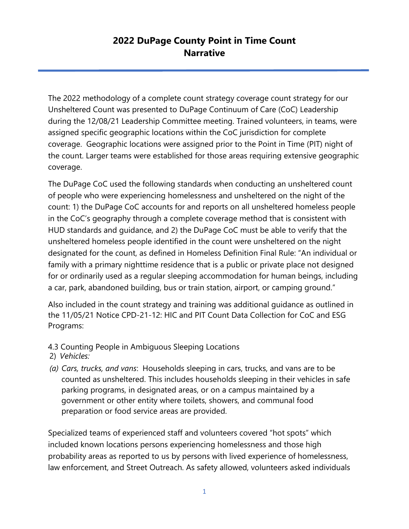# **2022 DuPage County Point in Time Count Narrative**

The 2022 methodology of a complete count strategy coverage count strategy for our Unsheltered Count was presented to DuPage Continuum of Care (CoC) Leadership during the 12/08/21 Leadership Committee meeting. Trained volunteers, in teams, were assigned specific geographic locations within the CoC jurisdiction for complete coverage. Geographic locations were assigned prior to the Point in Time (PIT) night of the count. Larger teams were established for those areas requiring extensive geographic coverage.

The DuPage CoC used the following standards when conducting an unsheltered count of people who were experiencing homelessness and unsheltered on the night of the count: 1) the DuPage CoC accounts for and reports on all unsheltered homeless people in the CoC's geography through a complete coverage method that is consistent with HUD standards and guidance, and 2) the DuPage CoC must be able to verify that the unsheltered homeless people identified in the count were unsheltered on the night designated for the count, as defined in Homeless Definition Final Rule: "An individual or family with a primary nighttime residence that is a public or private place not designed for or ordinarily used as a regular sleeping accommodation for human beings, including a car, park, abandoned building, bus or train station, airport, or camping ground."

Also included in the count strategy and training was additional guidance as outlined in the 11/05/21 Notice CPD-21-12: HIC and PIT Count Data Collection for CoC and ESG Programs:

- 4.3 Counting People in Ambiguous Sleeping Locations
- 2) *Vehicles:*
- *(a) Cars, trucks, and vans*: Households sleeping in cars, trucks, and vans are to be counted as unsheltered. This includes households sleeping in their vehicles in safe parking programs, in designated areas, or on a campus maintained by a government or other entity where toilets, showers, and communal food preparation or food service areas are provided.

Specialized teams of experienced staff and volunteers covered "hot spots" which included known locations persons experiencing homelessness and those high probability areas as reported to us by persons with lived experience of homelessness, law enforcement, and Street Outreach. As safety allowed, volunteers asked individuals